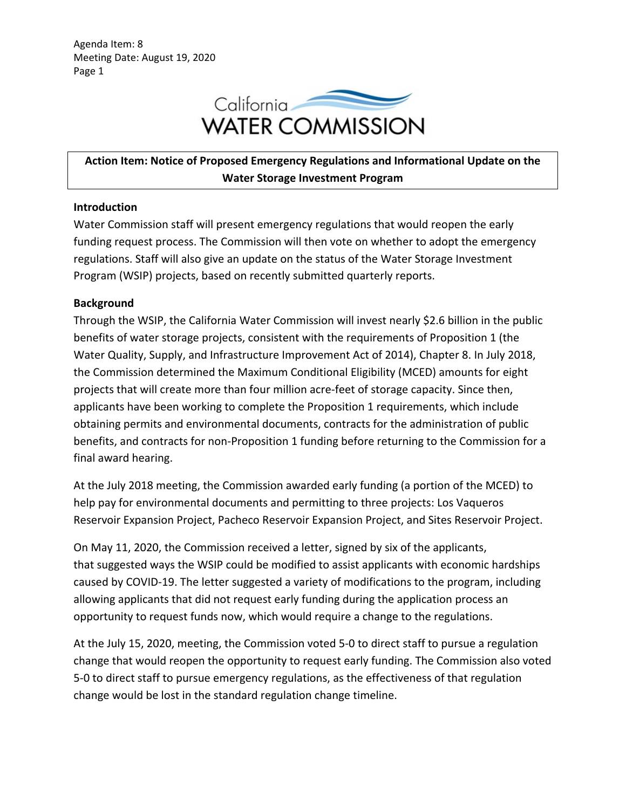Agenda Item: 8 Meeting Date: August 19, 2020 Page 1



# **Action Item: Notice of Proposed Emergency Regulations and Informational Update on the Water Storage Investment Program**

## **Introduction**

Water Commission staff will present emergency regulations that would reopen the early funding request process. The Commission will then vote on whether to adopt the emergency regulations. Staff will also give an update on the status of the Water Storage Investment Program (WSIP) projects, based on recently submitted quarterly reports.

## **Background**

Through the WSIP, the California Water Commission will invest nearly \$2.6 billion in the public benefits of water storage projects, consistent with the requirements of Proposition 1 (the Water Quality, Supply, and Infrastructure Improvement Act of 2014), Chapter 8. In July 2018, the Commission determined the Maximum Conditional Eligibility (MCED) amounts for eight projects that will create more than four million acre-feet of storage capacity. Since then, applicants have been working to complete the Proposition 1 requirements, which include obtaining permits and environmental documents, contracts for the administration of public benefits, and contracts for non-Proposition 1 funding before returning to the Commission for a final award hearing.

At the July 2018 meeting, the Commission awarded early funding (a portion of the MCED) to help pay for environmental documents and permitting to three projects: Los Vaqueros Reservoir Expansion Project, Pacheco Reservoir Expansion Project, and Sites Reservoir Project.

On May 11, 2020, the Commission received a letter, signed by six of the applicants, that suggested ways the WSIP could be modified to assist applicants with economic hardships caused by COVID-19. The letter suggested a variety of modifications to the program, including allowing applicants that did not request early funding during the application process an opportunity to request funds now, which would require a change to the regulations.

At the July 15, 2020, meeting, the Commission voted 5-0 to direct staff to pursue a regulation change that would reopen the opportunity to request early funding. The Commission also voted 5-0 to direct staff to pursue emergency regulations, as the effectiveness of that regulation change would be lost in the standard regulation change timeline.